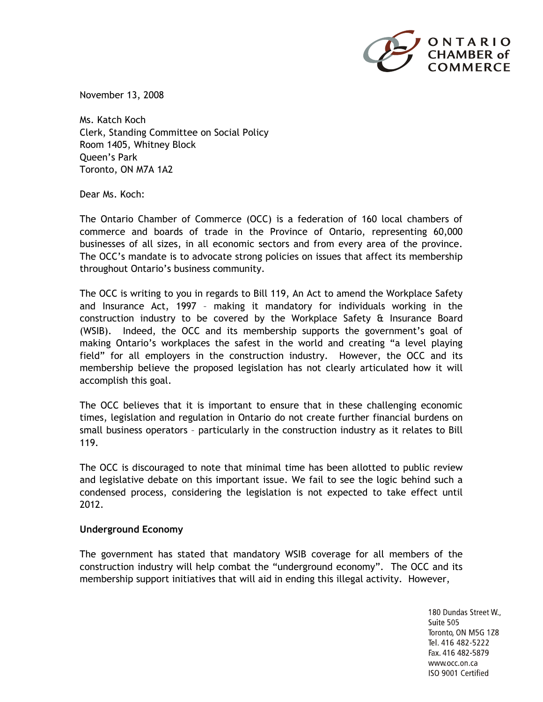

November 13, 2008

Ms. Katch Koch Clerk, Standing Committee on Social Policy Room 1405, Whitney Block Queen's Park Toronto, ON M7A 1A2

Dear Ms. Koch:

The Ontario Chamber of Commerce (OCC) is a federation of 160 local chambers of commerce and boards of trade in the Province of Ontario, representing 60,000 businesses of all sizes, in all economic sectors and from every area of the province. The OCC's mandate is to advocate strong policies on issues that affect its membership throughout Ontario's business community.

The OCC is writing to you in regards to Bill 119, An Act to amend the Workplace Safety and Insurance Act, 1997 – making it mandatory for individuals working in the construction industry to be covered by the Workplace Safety & Insurance Board (WSIB). Indeed, the OCC and its membership supports the government's goal of making Ontario's workplaces the safest in the world and creating "a level playing field" for all employers in the construction industry. However, the OCC and its membership believe the proposed legislation has not clearly articulated how it will accomplish this goal.

The OCC believes that it is important to ensure that in these challenging economic times, legislation and regulation in Ontario do not create further financial burdens on small business operators – particularly in the construction industry as it relates to Bill 119.

The OCC is discouraged to note that minimal time has been allotted to public review and legislative debate on this important issue. We fail to see the logic behind such a condensed process, considering the legislation is not expected to take effect until 2012.

## **Underground Economy**

The government has stated that mandatory WSIB coverage for all members of the construction industry will help combat the "underground economy". The OCC and its membership support initiatives that will aid in ending this illegal activity. However,

> 180 Dundas Street W., Suite 505 Toronto, ON M5G 1Z8 Tel. 416 482-5222 Fax. 416 482-5879 www.occ.on.ca ISO 9001 Certified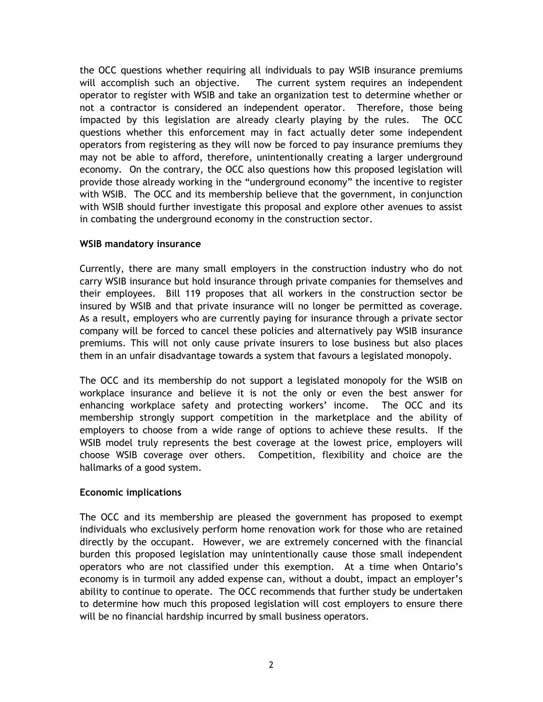the OCC questions whether requiring all individuals to pay WSIB insurance premiums will accomplish such an objective. The current system requires an independent operator to register with WSIB and take an organization test to determine whether or not a contractor is considered an independent operator. Therefore, those being impacted by this legislation are already clearly playing by the rules. The OCC questions whether this enforcement may in fact actually deter some independent operators from registering as they will now be forced to pay insurance premiums they may not be able to afford, therefore, unintentionally creating a larger underground economy. On the contrary, the OCC also questions how this proposed legislation will provide those already working in the "underground economy" the incentive to register with WSIB. The OCC and its membership believe that the government, in conjunction with WSIB should further investigate this proposal and explore other avenues to assist in combating the underground economy in the construction sector.

## **WSIB mandatory insurance**

Currently, there are many small employers in the construction industry who do not carry WSIB insurance but hold insurance through private companies for themselves and their employees. Bill 119 proposes that all workers in the construction sector be insured by WSIB and that private insurance will no longer be permitted as coverage. As a result, employers who are currently paying for insurance through a private sector company will be forced to cancel these policies and alternatively pay WSIB insurance premiums. This will not only cause private insurers to lose business but also places them in an unfair disadvantage towards a system that favours a legislated monopoly.

The OCC and its membership do not support a legislated monopoly for the WSIB on workplace insurance and believe it is not the only or even the best answer for enhancing workplace safety and protecting workers' income. The OCC and its membership strongly support competition in the marketplace and the ability of employers to choose from a wide range of options to achieve these results. If the WSIB model truly represents the best coverage at the lowest price, employers will choose WSIB coverage over others. Competition, flexibility and choice are the hallmarks of a good system.

## **Economic implications**

The OCC and its membership are pleased the government has proposed to exempt individuals who exclusively perform home renovation work for those who are retained directly by the occupant. However, we are extremely concerned with the financial burden this proposed legislation may unintentionally cause those small independent operators who are not classified under this exemption. At a time when Ontario's economy is in turmoil any added expense can, without a doubt, impact an employer's ability to continue to operate. The OCC recommends that further study be undertaken to determine how much this proposed legislation will cost employers to ensure there will be no financial hardship incurred by small business operators.